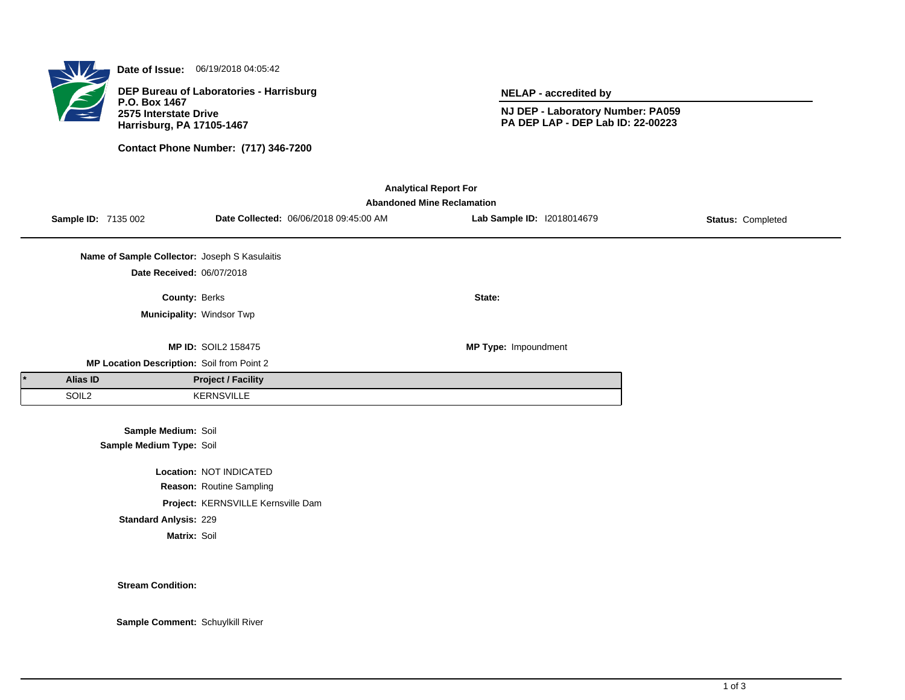

**Date of Issue:** 06/19/2018 04:05:42

**DEP Bureau of Laboratories - Harrisburg P.O. Box 1467 2575 Interstate Drive Harrisburg, PA 17105-1467**

**Contact Phone Number: (717) 346-7200**

**NELAP - accredited by**

**NJ DEP - Laboratory Number: PA059 PA DEP LAP - DEP Lab ID: 22-00223**

| <b>Analytical Report For</b><br><b>Abandoned Mine Reclamation</b> |                                            |                                               |                                    |                                        |                            |                   |  |  |  |  |
|-------------------------------------------------------------------|--------------------------------------------|-----------------------------------------------|------------------------------------|----------------------------------------|----------------------------|-------------------|--|--|--|--|
|                                                                   | Sample ID: 7135 002                        |                                               |                                    | Date Collected: 06/06/2018 09:45:00 AM | Lab Sample ID: 12018014679 | Status: Completed |  |  |  |  |
|                                                                   |                                            | Name of Sample Collector: Joseph S Kasulaitis |                                    |                                        |                            |                   |  |  |  |  |
|                                                                   |                                            | Date Received: 06/07/2018                     |                                    |                                        |                            |                   |  |  |  |  |
|                                                                   |                                            | County: Berks                                 |                                    |                                        | State:                     |                   |  |  |  |  |
|                                                                   |                                            |                                               | Municipality: Windsor Twp          |                                        |                            |                   |  |  |  |  |
|                                                                   |                                            |                                               | <b>MP ID: SOIL2 158475</b>         |                                        | MP Type: Impoundment       |                   |  |  |  |  |
|                                                                   | MP Location Description: Soil from Point 2 |                                               |                                    |                                        |                            |                   |  |  |  |  |
|                                                                   | <b>Alias ID</b>                            |                                               | <b>Project / Facility</b>          |                                        |                            |                   |  |  |  |  |
|                                                                   | SOIL <sub>2</sub>                          |                                               | <b>KERNSVILLE</b>                  |                                        |                            |                   |  |  |  |  |
|                                                                   |                                            | Sample Medium: Soil                           |                                    |                                        |                            |                   |  |  |  |  |
|                                                                   |                                            | Sample Medium Type: Soil                      |                                    |                                        |                            |                   |  |  |  |  |
|                                                                   |                                            |                                               | Location: NOT INDICATED            |                                        |                            |                   |  |  |  |  |
|                                                                   |                                            |                                               | Reason: Routine Sampling           |                                        |                            |                   |  |  |  |  |
|                                                                   |                                            |                                               | Project: KERNSVILLE Kernsville Dam |                                        |                            |                   |  |  |  |  |

**Standard Anlysis:** 229

**Matrix:** Soil

**Stream Condition:**

**Sample Comment:** Schuylkill River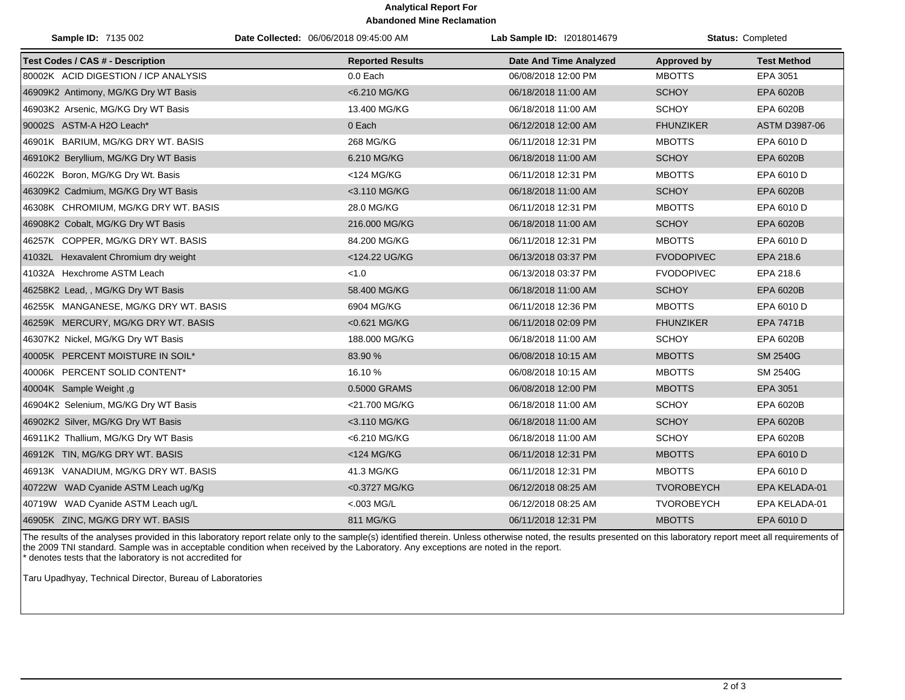## **Analytical Report For Abandoned Mine Reclamation**

| Sample ID: 7135 002                     | Date Collected: 06/06/2018 09:45:00 AM | Lab Sample ID: I2018014679    |                   | Status: Completed  |
|-----------------------------------------|----------------------------------------|-------------------------------|-------------------|--------------------|
| <b>Test Codes / CAS # - Description</b> | <b>Reported Results</b>                | <b>Date And Time Analyzed</b> | Approved by       | <b>Test Method</b> |
| 80002K ACID DIGESTION / ICP ANALYSIS    | 0.0 Each                               | 06/08/2018 12:00 PM           | <b>MBOTTS</b>     | EPA 3051           |
| 46909K2 Antimony, MG/KG Dry WT Basis    | <6.210 MG/KG                           | 06/18/2018 11:00 AM           | <b>SCHOY</b>      | EPA 6020B          |
| 46903K2 Arsenic, MG/KG Dry WT Basis     | 13.400 MG/KG                           | 06/18/2018 11:00 AM           | <b>SCHOY</b>      | EPA 6020B          |
| 90002S ASTM-A H2O Leach*                | 0 Each                                 | 06/12/2018 12:00 AM           | <b>FHUNZIKER</b>  | ASTM D3987-06      |
| 46901K BARIUM, MG/KG DRY WT. BASIS      | 268 MG/KG                              | 06/11/2018 12:31 PM           | <b>MBOTTS</b>     | EPA 6010 D         |
| 46910K2 Beryllium, MG/KG Dry WT Basis   | 6.210 MG/KG                            | 06/18/2018 11:00 AM           | <b>SCHOY</b>      | EPA 6020B          |
| 46022K Boron, MG/KG Dry Wt. Basis       | <124 MG/KG                             | 06/11/2018 12:31 PM           | <b>MBOTTS</b>     | EPA 6010 D         |
| 46309K2 Cadmium, MG/KG Dry WT Basis     | <3.110 MG/KG                           | 06/18/2018 11:00 AM           | <b>SCHOY</b>      | EPA 6020B          |
| 46308K CHROMIUM, MG/KG DRY WT. BASIS    | 28.0 MG/KG                             | 06/11/2018 12:31 PM           | <b>MBOTTS</b>     | EPA 6010 D         |
| 46908K2 Cobalt, MG/KG Dry WT Basis      | 216.000 MG/KG                          | 06/18/2018 11:00 AM           | <b>SCHOY</b>      | EPA 6020B          |
| 46257K COPPER, MG/KG DRY WT. BASIS      | 84.200 MG/KG                           | 06/11/2018 12:31 PM           | <b>MBOTTS</b>     | EPA 6010 D         |
| 41032L Hexavalent Chromium dry weight   | <124.22 UG/KG                          | 06/13/2018 03:37 PM           | <b>FVODOPIVEC</b> | EPA 218.6          |
| 41032A Hexchrome ASTM Leach             | < 1.0                                  | 06/13/2018 03:37 PM           | <b>FVODOPIVEC</b> | EPA 218.6          |
| 46258K2 Lead, , MG/KG Dry WT Basis      | 58.400 MG/KG                           | 06/18/2018 11:00 AM           | <b>SCHOY</b>      | EPA 6020B          |
| 46255K MANGANESE, MG/KG DRY WT. BASIS   | 6904 MG/KG                             | 06/11/2018 12:36 PM           | <b>MBOTTS</b>     | EPA 6010 D         |
| 46259K MERCURY, MG/KG DRY WT. BASIS     | <0.621 MG/KG                           | 06/11/2018 02:09 PM           | <b>FHUNZIKER</b>  | <b>EPA 7471B</b>   |
| 46307K2 Nickel, MG/KG Dry WT Basis      | 188.000 MG/KG                          | 06/18/2018 11:00 AM           | <b>SCHOY</b>      | EPA 6020B          |
| 40005K PERCENT MOISTURE IN SOIL*        | 83.90 %                                | 06/08/2018 10:15 AM           | <b>MBOTTS</b>     | <b>SM 2540G</b>    |
| 40006K PERCENT SOLID CONTENT*           | 16.10 %                                | 06/08/2018 10:15 AM           | <b>MBOTTS</b>     | SM 2540G           |
| 40004K Sample Weight, g                 | 0.5000 GRAMS                           | 06/08/2018 12:00 PM           | <b>MBOTTS</b>     | EPA 3051           |
| 46904K2 Selenium, MG/KG Dry WT Basis    | <21.700 MG/KG                          | 06/18/2018 11:00 AM           | <b>SCHOY</b>      | EPA 6020B          |
| 46902K2 Silver, MG/KG Dry WT Basis      | <3.110 MG/KG                           | 06/18/2018 11:00 AM           | <b>SCHOY</b>      | EPA 6020B          |
| 46911K2 Thallium, MG/KG Dry WT Basis    | <6.210 MG/KG                           | 06/18/2018 11:00 AM           | <b>SCHOY</b>      | EPA 6020B          |
| 46912K TIN, MG/KG DRY WT. BASIS         | <124 MG/KG                             | 06/11/2018 12:31 PM           | <b>MBOTTS</b>     | EPA 6010 D         |
| 46913K VANADIUM, MG/KG DRY WT. BASIS    | 41.3 MG/KG                             | 06/11/2018 12:31 PM           | <b>MBOTTS</b>     | EPA 6010 D         |
| 40722W WAD Cyanide ASTM Leach ug/Kg     | <0.3727 MG/KG                          | 06/12/2018 08:25 AM           | <b>TVOROBEYCH</b> | EPA KELADA-01      |
| 40719W WAD Cyanide ASTM Leach ug/L      | $< 003$ MG/L                           | 06/12/2018 08:25 AM           | <b>TVOROBEYCH</b> | EPA KELADA-01      |
| 46905K ZINC, MG/KG DRY WT. BASIS        | 811 MG/KG                              | 06/11/2018 12:31 PM           | <b>MBOTTS</b>     | EPA 6010 D         |

The results of the analyses provided in this laboratory report relate only to the sample(s) identified therein. Unless otherwise noted, the results presented on this laboratory report meet all requirements of the 2009 TNI standard. Sample was in acceptable condition when received by the Laboratory. Any exceptions are noted in the report. \* denotes tests that the laboratory is not accredited for

Taru Upadhyay, Technical Director, Bureau of Laboratories